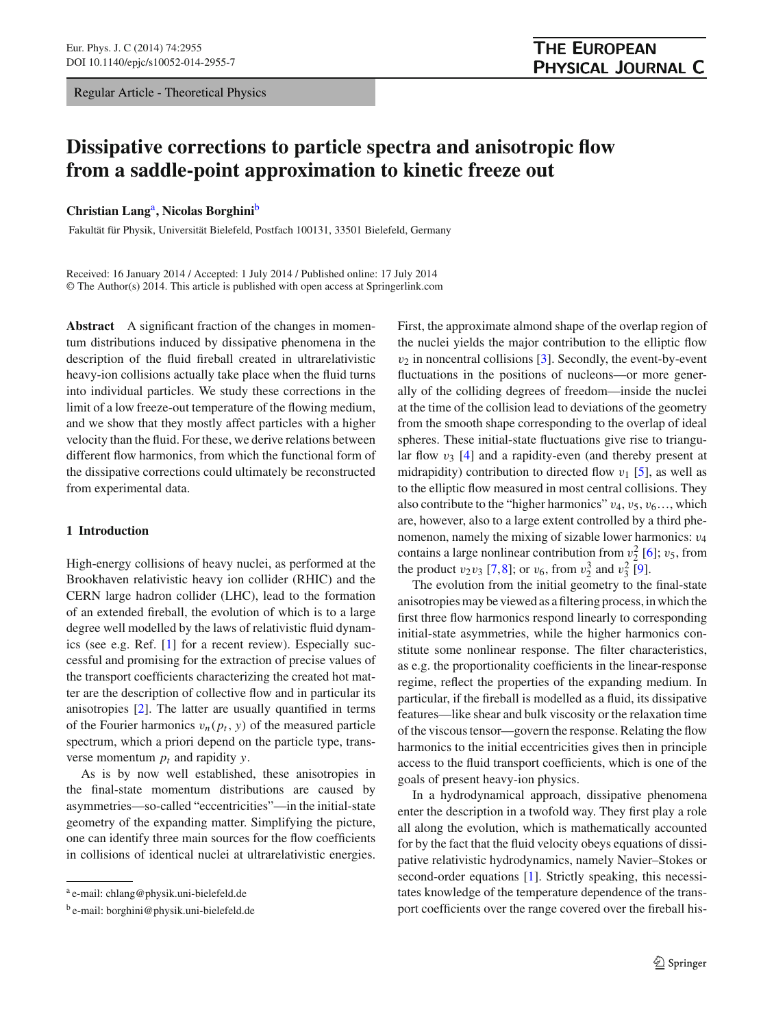Regular Article - Theoretical Physics

# **Dissipative corrections to particle spectra and anisotropic flow from a saddle-point approximation to kinetic freeze out**

## **Christian Lang**a**, Nicolas Borghini**<sup>b</sup>

Fakultät für Physik, Universität Bielefeld, Postfach 100131, 33501 Bielefeld, Germany

Received: 16 January 2014 / Accepted: 1 July 2014 / Published online: 17 July 2014 © The Author(s) 2014. This article is published with open access at Springerlink.com

**Abstract** A significant fraction of the changes in momentum distributions induced by dissipative phenomena in the description of the fluid fireball created in ultrarelativistic heavy-ion collisions actually take place when the fluid turns into individual particles. We study these corrections in the limit of a low freeze-out temperature of the flowing medium, and we show that they mostly affect particles with a higher velocity than the fluid. For these, we derive relations between different flow harmonics, from which the functional form of the dissipative corrections could ultimately be reconstructed from experimental data.

## **1 Introduction**

High-energy collisions of heavy nuclei, as performed at the Brookhaven relativistic heavy ion collider (RHIC) and the CERN large hadron collider (LHC), lead to the formation of an extended fireball, the evolution of which is to a large degree well modelled by the laws of relativistic fluid dynamics (see e.g. Ref. [\[1\]](#page-10-0) for a recent review). Especially successful and promising for the extraction of precise values of the transport coefficients characterizing the created hot matter are the description of collective flow and in particular its anisotropies [\[2](#page-10-1)]. The latter are usually quantified in terms of the Fourier harmonics  $v_n(p_t, y)$  of the measured particle spectrum, which a priori depend on the particle type, transverse momentum  $p_t$  and rapidity  $y$ .

As is by now well established, these anisotropies in the final-state momentum distributions are caused by asymmetries—so-called "eccentricities"—in the initial-state geometry of the expanding matter. Simplifying the picture, one can identify three main sources for the flow coefficients in collisions of identical nuclei at ultrarelativistic energies.

First, the approximate almond shape of the overlap region of the nuclei yields the major contribution to the elliptic flow  $v_2$  in noncentral collisions [\[3](#page-10-2)]. Secondly, the event-by-event fluctuations in the positions of nucleons—or more generally of the colliding degrees of freedom—inside the nuclei at the time of the collision lead to deviations of the geometry from the smooth shape corresponding to the overlap of ideal spheres. These initial-state fluctuations give rise to triangular flow  $v_3$  [\[4\]](#page-10-3) and a rapidity-even (and thereby present at midrapidity) contribution to directed flow  $v_1$  [\[5](#page-10-4)], as well as to the elliptic flow measured in most central collisions. They also contribute to the "higher harmonics"  $v_4$ ,  $v_5$ ,  $v_6$ ..., which are, however, also to a large extent controlled by a third phenomenon, namely the mixing of sizable lower harmonics:  $v_4$ contains a large nonlinear contribution from  $v_2^2$  [\[6\]](#page-10-5);  $v_5$ , from the product  $v_2v_3$  [\[7](#page-10-6)[,8](#page-10-7)]; or  $v_6$ , from  $v_2^3$  and  $v_3^2$  [\[9\]](#page-10-8).

The evolution from the initial geometry to the final-state anisotropies may be viewed as a filtering process, in which the first three flow harmonics respond linearly to corresponding initial-state asymmetries, while the higher harmonics constitute some nonlinear response. The filter characteristics, as e.g. the proportionality coefficients in the linear-response regime, reflect the properties of the expanding medium. In particular, if the fireball is modelled as a fluid, its dissipative features—like shear and bulk viscosity or the relaxation time of the viscous tensor—govern the response. Relating the flow harmonics to the initial eccentricities gives then in principle access to the fluid transport coefficients, which is one of the goals of present heavy-ion physics.

In a hydrodynamical approach, dissipative phenomena enter the description in a twofold way. They first play a role all along the evolution, which is mathematically accounted for by the fact that the fluid velocity obeys equations of dissipative relativistic hydrodynamics, namely Navier–Stokes or second-order equations [\[1](#page-10-0)]. Strictly speaking, this necessitates knowledge of the temperature dependence of the transport coefficients over the range covered over the fireball his-

<sup>a</sup> e-mail: chlang@physik.uni-bielefeld.de

<sup>b</sup> e-mail: borghini@physik.uni-bielefeld.de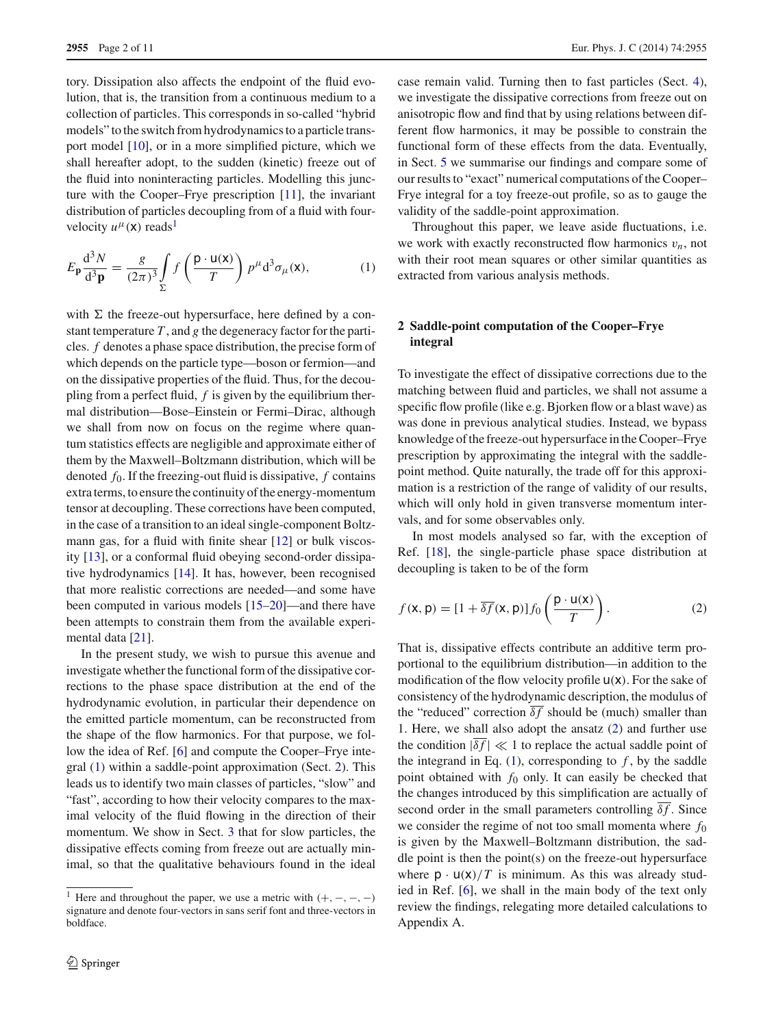tory. Dissipation also affects the endpoint of the fluid evolution, that is, the transition from a continuous medium to a collection of particles. This corresponds in so-called "hybrid models" to the switch from hydrodynamics to a particle transport model [\[10](#page-10-10)], or in a more simplified picture, which we shall hereafter adopt, to the sudden (kinetic) freeze out of the fluid into noninteracting particles. Modelling this juncture with the Cooper–Frye prescription [\[11\]](#page-10-11), the invariant distribution of particles decoupling from of a fluid with fourvelocity  $u^{\mu}$ (x) reads<sup>[1](#page-1-0)</sup>

<span id="page-1-1"></span>
$$
E_{\mathbf{p}} \frac{d^3 N}{d^3 \mathbf{p}} = \frac{g}{(2\pi)^3} \int_{\Sigma} f\left(\frac{\mathbf{p} \cdot \mathbf{u}(\mathbf{x})}{T}\right) p^{\mu} d^3 \sigma_{\mu}(\mathbf{x}), \tag{1}
$$

with  $\Sigma$  the freeze-out hypersurface, here defined by a constant temperature *T* , and *g* the degeneracy factor for the particles. *f* denotes a phase space distribution, the precise form of which depends on the particle type—boson or fermion—and on the dissipative properties of the fluid. Thus, for the decoupling from a perfect fluid, *f* is given by the equilibrium thermal distribution—Bose–Einstein or Fermi–Dirac, although we shall from now on focus on the regime where quantum statistics effects are negligible and approximate either of them by the Maxwell–Boltzmann distribution, which will be denoted *f*0. If the freezing-out fluid is dissipative, *f* contains extra terms, to ensure the continuity of the energy-momentum tensor at decoupling. These corrections have been computed, in the case of a transition to an ideal single-component Boltz-mann gas, for a fluid with finite shear [\[12\]](#page-10-12) or bulk viscosity [\[13\]](#page-10-13), or a conformal fluid obeying second-order dissipative hydrodynamics [\[14\]](#page-10-14). It has, however, been recognised that more realistic corrections are needed—and some have been computed in various models [\[15](#page-10-15)[–20](#page-10-16)]—and there have been attempts to constrain them from the available experimental data [\[21](#page-10-17)].

In the present study, we wish to pursue this avenue and investigate whether the functional form of the dissipative corrections to the phase space distribution at the end of the hydrodynamic evolution, in particular their dependence on the emitted particle momentum, can be reconstructed from the shape of the flow harmonics. For that purpose, we follow the idea of Ref. [\[6](#page-10-5)] and compute the Cooper–Frye integral [\(1\)](#page-1-1) within a saddle-point approximation (Sect. [2\)](#page-1-2). This leads us to identify two main classes of particles, "slow" and "fast", according to how their velocity compares to the maximal velocity of the fluid flowing in the direction of their momentum. We show in Sect. [3](#page-2-0) that for slow particles, the dissipative effects coming from freeze out are actually minimal, so that the qualitative behaviours found in the ideal case remain valid. Turning then to fast particles (Sect. [4\)](#page-3-0), we investigate the dissipative corrections from freeze out on anisotropic flow and find that by using relations between different flow harmonics, it may be possible to constrain the functional form of these effects from the data. Eventually, in Sect. [5](#page-4-0) we summarise our findings and compare some of our results to "exact" numerical computations of the Cooper– Frye integral for a toy freeze-out profile, so as to gauge the validity of the saddle-point approximation.

Throughout this paper, we leave aside fluctuations, i.e. we work with exactly reconstructed flow harmonics  $v_n$ , not with their root mean squares or other similar quantities as extracted from various analysis methods.

# <span id="page-1-2"></span>**2 Saddle-point computation of the Cooper–Frye integral**

To investigate the effect of dissipative corrections due to the matching between fluid and particles, we shall not assume a specific flow profile (like e.g. Bjorken flow or a blast wave) as was done in previous analytical studies. Instead, we bypass knowledge of the freeze-out hypersurface in the Cooper–Frye prescription by approximating the integral with the saddlepoint method. Quite naturally, the trade off for this approximation is a restriction of the range of validity of our results, which will only hold in given transverse momentum intervals, and for some observables only.

In most models analysed so far, with the exception of Ref. [\[18](#page-10-18)], the single-particle phase space distribution at decoupling is taken to be of the form

<span id="page-1-3"></span>
$$
f(\mathbf{x}, \mathbf{p}) = [1 + \overline{\delta f}(\mathbf{x}, \mathbf{p})] f_0\left(\frac{\mathbf{p} \cdot \mathbf{u}(\mathbf{x})}{T}\right).
$$
 (2)

That is, dissipative effects contribute an additive term proportional to the equilibrium distribution—in addition to the modification of the flow velocity profile  $u(x)$ . For the sake of consistency of the hydrodynamic description, the modulus of the "reduced" correction  $\delta f$  should be (much) smaller than 1. Here, we shall also adopt the ansatz [\(2\)](#page-1-3) and further use the condition  $|\delta f| \ll 1$  to replace the actual saddle point of the integrand in Eq.  $(1)$ , corresponding to  $f$ , by the saddle point obtained with *f*<sup>0</sup> only. It can easily be checked that the changes introduced by this simplification are actually of second order in the small parameters controlling  $\delta f$ . Since we consider the regime of not too small momenta where  $f_0$ is given by the Maxwell–Boltzmann distribution, the saddle point is then the point(s) on the freeze-out hypersurface where  $p \cdot u(x)/T$  is minimum. As this was already studied in Ref. [\[6](#page-10-5)], we shall in the main body of the text only review the findings, relegating more detailed calculations to Appendix A.

<span id="page-1-0"></span><sup>&</sup>lt;sup>1</sup> Here and throughout the paper, we use a metric with  $(+, -, -, -)$ signature and denote four-vectors in sans serif font and three-vectors in boldface.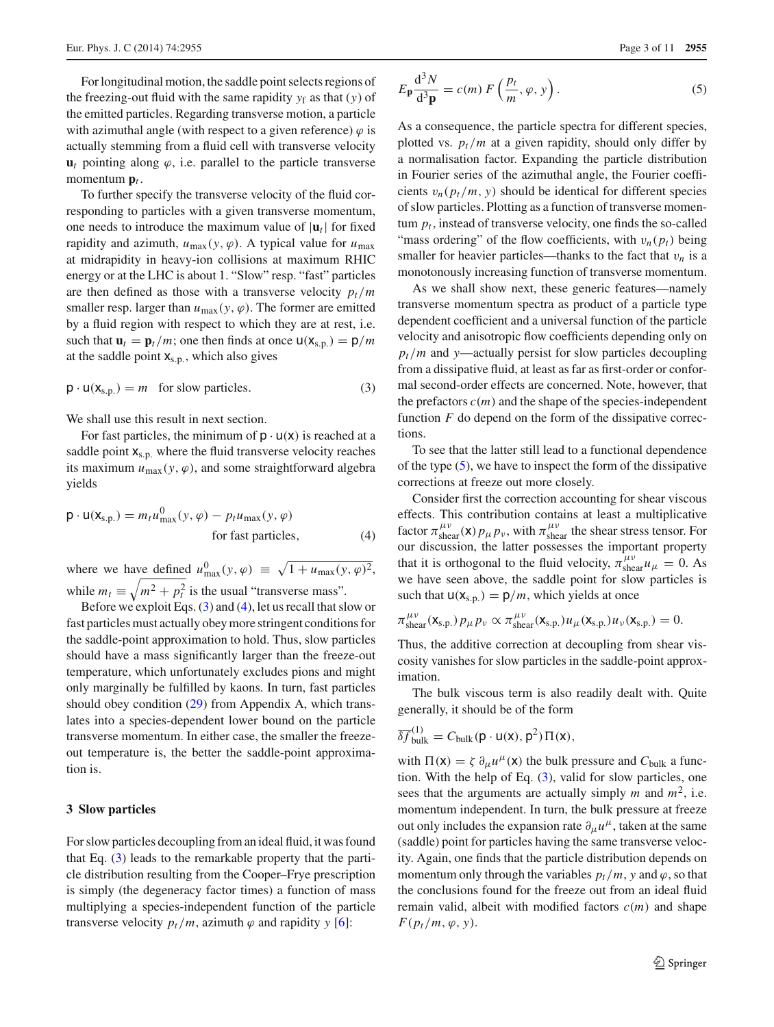For longitudinal motion, the saddle point selects regions of the freezing-out fluid with the same rapidity  $y_f$  as that  $(y)$  of the emitted particles. Regarding transverse motion, a particle with azimuthal angle (with respect to a given reference)  $\varphi$  is actually stemming from a fluid cell with transverse velocity  $\mathbf{u}_t$  pointing along  $\varphi$ , i.e. parallel to the particle transverse momentum **p***<sup>t</sup>* .

To further specify the transverse velocity of the fluid corresponding to particles with a given transverse momentum, one needs to introduce the maximum value of  $|\mathbf{u}_t|$  for fixed rapidity and azimuth,  $u_{\text{max}}(y, \varphi)$ . A typical value for  $u_{\text{max}}$ at midrapidity in heavy-ion collisions at maximum RHIC energy or at the LHC is about 1. "Slow" resp. "fast" particles are then defined as those with a transverse velocity  $p_t/m$ smaller resp. larger than  $u_{\text{max}}(y, \varphi)$ . The former are emitted by a fluid region with respect to which they are at rest, i.e. such that  $\mathbf{u}_t = \mathbf{p}_t / m$ ; one then finds at once  $\mathbf{u}(\mathbf{x}_{s,n}) = \mathbf{p} / m$ at the saddle point  $x_{s.p.}$ , which also gives

$$
\mathsf{p} \cdot \mathsf{u}(\mathsf{x}_{\mathrm{s.p.}}) = m \quad \text{for slow particles.} \tag{3}
$$

We shall use this result in next section.

For fast particles, the minimum of  $p \cdot u(x)$  is reached at a saddle point  $X_{s.p.}$  where the fluid transverse velocity reaches its maximum  $u_{\text{max}}(y, \varphi)$ , and some straightforward algebra yields

$$
\mathsf{p} \cdot \mathsf{u}(\mathsf{x}_{\mathsf{s},\mathsf{p},\mathsf{p}}) = m_t u_{\max}^0(y,\varphi) - p_t u_{\max}(y,\varphi)
$$
\n
$$
\text{for fast particles,} \tag{4}
$$

where we have defined  $u_{\text{max}}^0(y, \varphi) \equiv \sqrt{1 + u_{\text{max}}(y, \varphi)^2}$ , while  $m_t \equiv \sqrt{m^2 + p_t^2}$  is the usual "transverse mass".

Before we exploit Eqs.  $(3)$  and  $(4)$ , let us recall that slow or fast particles must actually obey more stringent conditions for the saddle-point approximation to hold. Thus, slow particles should have a mass significantly larger than the freeze-out temperature, which unfortunately excludes pions and might only marginally be fulfilled by kaons. In turn, fast particles should obey condition [\(29\)](#page-9-0) from Appendix A, which translates into a species-dependent lower bound on the particle transverse momentum. In either case, the smaller the freezeout temperature is, the better the saddle-point approximation is.

## <span id="page-2-0"></span>**3 Slow particles**

For slow particles decoupling from an ideal fluid, it was found that Eq. [\(3\)](#page-2-1) leads to the remarkable property that the particle distribution resulting from the Cooper–Frye prescription is simply (the degeneracy factor times) a function of mass multiplying a species-independent function of the particle transverse velocity  $p_t/m$ , azimuth  $\varphi$  and rapidity  $\psi$  [\[6\]](#page-10-5):

$$
E_{\mathbf{p}} \frac{\mathrm{d}^3 N}{\mathrm{d}^3 \mathbf{p}} = c(m) F\left(\frac{p_t}{m}, \varphi, y\right). \tag{5}
$$

As a consequence, the particle spectra for different species, plotted vs.  $p_t/m$  at a given rapidity, should only differ by a normalisation factor. Expanding the particle distribution in Fourier series of the azimuthal angle, the Fourier coefficients  $v_n(p_t/m, y)$  should be identical for different species of slow particles. Plotting as a function of transverse momentum  $p_t$ , instead of transverse velocity, one finds the so-called "mass ordering" of the flow coefficients, with  $v_n(p_t)$  being smaller for heavier particles—thanks to the fact that  $v_n$  is a monotonously increasing function of transverse momentum.

<span id="page-2-1"></span>As we shall show next, these generic features—namely transverse momentum spectra as product of a particle type dependent coefficient and a universal function of the particle velocity and anisotropic flow coefficients depending only on  $p_t$  /*m* and *y*—actually persist for slow particles decoupling from a dissipative fluid, at least as far as first-order or conformal second-order effects are concerned. Note, however, that the prefactors  $c(m)$  and the shape of the species-independent function *F* do depend on the form of the dissipative corrections.

To see that the latter still lead to a functional dependence of the type [\(5\)](#page-2-3), we have to inspect the form of the dissipative corrections at freeze out more closely.

<span id="page-2-2"></span>Consider first the correction accounting for shear viscous effects. This contribution contains at least a multiplicative factor  $\pi_{\text{shear}}^{\mu\nu}$  (**x**)  $p_{\mu} p_{\nu}$ , with  $\pi_{\text{shear}}^{\mu\nu}$  the shear stress tensor. For our discussion, the latter possesses the important property that it is orthogonal to the fluid velocity,  $\pi_{\text{shear}}^{\mu\nu} u_{\mu} = 0$ . As we have seen above, the saddle point for slow particles is such that  $u(x_{s.p.}) = p/m$ , which yields at once

$$
\pi_{\text{shear}}^{\mu\nu}(\mathbf{x}_{\text{s.p.}}) p_{\mu} p_{\nu} \propto \pi_{\text{shear}}^{\mu\nu}(\mathbf{x}_{\text{s.p.}}) u_{\mu}(\mathbf{x}_{\text{s.p.}}) u_{\nu}(\mathbf{x}_{\text{s.p.}}) = 0.
$$

Thus, the additive correction at decoupling from shear viscosity vanishes for slow particles in the saddle-point approximation.

The bulk viscous term is also readily dealt with. Quite generally, it should be of the form

$$
\overline{\delta f}_{\text{bulk}}^{(1)} = C_{\text{bulk}}(\mathsf{p} \cdot \mathsf{u}(\mathsf{x}), \mathsf{p}^2) \Pi(\mathsf{x}),
$$

<span id="page-2-3"></span>with  $\Pi(x) = \zeta \partial_\mu u^\mu(x)$  the bulk pressure and  $C_{\text{bulk}}$  a function. With the help of Eq. [\(3\)](#page-2-1), valid for slow particles, one sees that the arguments are actually simply  $m$  and  $m^2$ , i.e. momentum independent. In turn, the bulk pressure at freeze out only includes the expansion rate  $\partial_\mu u^\mu$ , taken at the same (saddle) point for particles having the same transverse velocity. Again, one finds that the particle distribution depends on momentum only through the variables  $p_t/m$ , y and  $\varphi$ , so that the conclusions found for the freeze out from an ideal fluid remain valid, albeit with modified factors  $c(m)$  and shape  $F(p_t/m, \varphi, y)$ .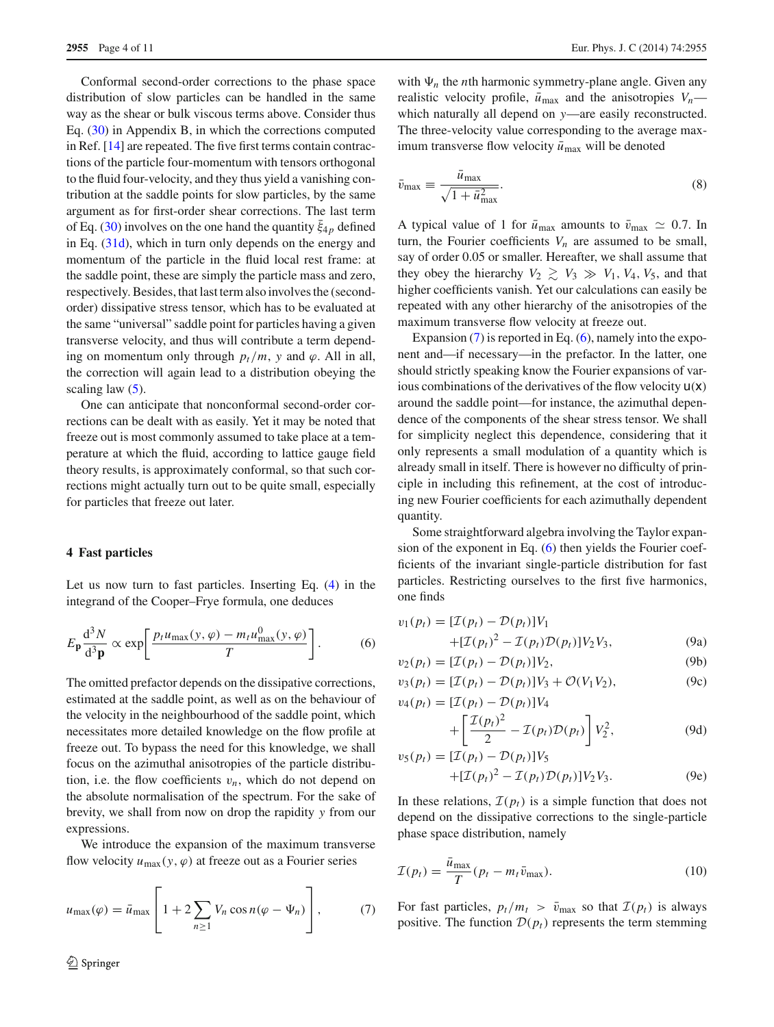Conformal second-order corrections to the phase space distribution of slow particles can be handled in the same way as the shear or bulk viscous terms above. Consider thus Eq. [\(30\)](#page-9-1) in Appendix B, in which the corrections computed in Ref. [\[14\]](#page-10-14) are repeated. The five first terms contain contractions of the particle four-momentum with tensors orthogonal to the fluid four-velocity, and they thus yield a vanishing contribution at the saddle points for slow particles, by the same argument as for first-order shear corrections. The last term of Eq. [\(30\)](#page-9-1) involves on the one hand the quantity  $\xi_{4p}$  defined in Eq. [\(31d\)](#page-9-2), which in turn only depends on the energy and momentum of the particle in the fluid local rest frame: at the saddle point, these are simply the particle mass and zero, respectively. Besides, that last term also involves the (secondorder) dissipative stress tensor, which has to be evaluated at the same "universal" saddle point for particles having a given transverse velocity, and thus will contribute a term depending on momentum only through  $p_t/m$ , *y* and  $\varphi$ . All in all, the correction will again lead to a distribution obeying the scaling law  $(5)$ .

One can anticipate that nonconformal second-order corrections can be dealt with as easily. Yet it may be noted that freeze out is most commonly assumed to take place at a temperature at which the fluid, according to lattice gauge field theory results, is approximately conformal, so that such corrections might actually turn out to be quite small, especially for particles that freeze out later.

#### <span id="page-3-0"></span>**4 Fast particles**

Let us now turn to fast particles. Inserting Eq. [\(4\)](#page-2-2) in the integrand of the Cooper–Frye formula, one deduces

$$
E_{\mathbf{p}} \frac{\mathrm{d}^3 N}{\mathrm{d}^3 \mathbf{p}} \propto \exp \left[ \frac{p_t u_{\text{max}}(y, \varphi) - m_t u_{\text{max}}^0(y, \varphi)}{T} \right]. \tag{6}
$$

The omitted prefactor depends on the dissipative corrections, estimated at the saddle point, as well as on the behaviour of the velocity in the neighbourhood of the saddle point, which necessitates more detailed knowledge on the flow profile at freeze out. To bypass the need for this knowledge, we shall focus on the azimuthal anisotropies of the particle distribution, i.e. the flow coefficients  $v_n$ , which do not depend on the absolute normalisation of the spectrum. For the sake of brevity, we shall from now on drop the rapidity *y* from our expressions.

We introduce the expansion of the maximum transverse flow velocity  $u_{\text{max}}(y, \varphi)$  at freeze out as a Fourier series

$$
u_{\max}(\varphi) = \bar{u}_{\max} \left[ 1 + 2 \sum_{n \ge 1} V_n \cos n(\varphi - \Psi_n) \right], \tag{7}
$$

with  $\Psi_n$  the *n*th harmonic symmetry-plane angle. Given any realistic velocity profile,  $\bar{u}_{\text{max}}$  and the anisotropies  $V_n$  which naturally all depend on *y*—are easily reconstructed. The three-velocity value corresponding to the average maximum transverse flow velocity  $\bar{u}_{\text{max}}$  will be denoted

$$
\bar{v}_{\text{max}} \equiv \frac{\bar{u}_{\text{max}}}{\sqrt{1 + \bar{u}_{\text{max}}^2}}.
$$
\n(8)

A typical value of 1 for  $\bar{u}_{\text{max}}$  amounts to  $\bar{v}_{\text{max}} \simeq 0.7$ . In turn, the Fourier coefficients  $V_n$  are assumed to be small, say of order 0.05 or smaller. Hereafter, we shall assume that they obey the hierarchy  $V_2 \geq V_3 \gg V_1$ ,  $V_4$ ,  $V_5$ , and that higher coefficients vanish. Yet our calculations can easily be repeated with any other hierarchy of the anisotropies of the maximum transverse flow velocity at freeze out.

Expansion  $(7)$  is reported in Eq.  $(6)$ , namely into the exponent and—if necessary—in the prefactor. In the latter, one should strictly speaking know the Fourier expansions of various combinations of the derivatives of the flow velocity  $u(x)$ around the saddle point—for instance, the azimuthal dependence of the components of the shear stress tensor. We shall for simplicity neglect this dependence, considering that it only represents a small modulation of a quantity which is already small in itself. There is however no difficulty of principle in including this refinement, at the cost of introducing new Fourier coefficients for each azimuthally dependent quantity.

Some straightforward algebra involving the Taylor expansion of the exponent in Eq. [\(6\)](#page-3-2) then yields the Fourier coefficients of the invariant single-particle distribution for fast particles. Restricting ourselves to the first five harmonics, one finds

<span id="page-3-4"></span><span id="page-3-3"></span><span id="page-3-2"></span>
$$
v_1(p_t) = [\mathcal{I}(p_t) - \mathcal{D}(p_t)]V_1 + [\mathcal{I}(p_t)^2 - \mathcal{I}(p_t)\mathcal{D}(p_t)]V_2V_3,
$$
 (9a)

$$
v_2(p_t) = [\mathcal{I}(p_t) - \mathcal{D}(p_t)]V_2, \tag{9b}
$$

$$
v_3(p_t) = [\mathcal{I}(p_t) - \mathcal{D}(p_t)]V_3 + \mathcal{O}(V_1 V_2),
$$
(9c)  

$$
v_4(p_t) = [\mathcal{I}(p_t) - \mathcal{D}(p_t)]V_4
$$

$$
+\left[\frac{\mathcal{I}(p_t)^2}{2} - \mathcal{I}(p_t)\mathcal{D}(p_t)\right]V_2^2,
$$
\n
$$
v_5(p_t) = [\mathcal{I}(p_t) - \mathcal{D}(p_t)]V_5
$$
\n(9d)

<span id="page-3-5"></span>
$$
+[\mathcal{I}(p_t)^2-\mathcal{I}(p_t)\mathcal{D}(p_t)]V_2V_3.
$$
 (9e)

In these relations,  $\mathcal{I}(p_t)$  is a simple function that does not depend on the dissipative corrections to the single-particle phase space distribution, namely

<span id="page-3-1"></span>
$$
\mathcal{I}(p_t) = \frac{\bar{u}_{\text{max}}}{T} (p_t - m_t \bar{v}_{\text{max}}).
$$
 (10)

For fast particles,  $p_t/m_t > \bar{v}_{\text{max}}$  so that  $\mathcal{I}(p_t)$  is always positive. The function  $\mathcal{D}(p_t)$  represents the term stemming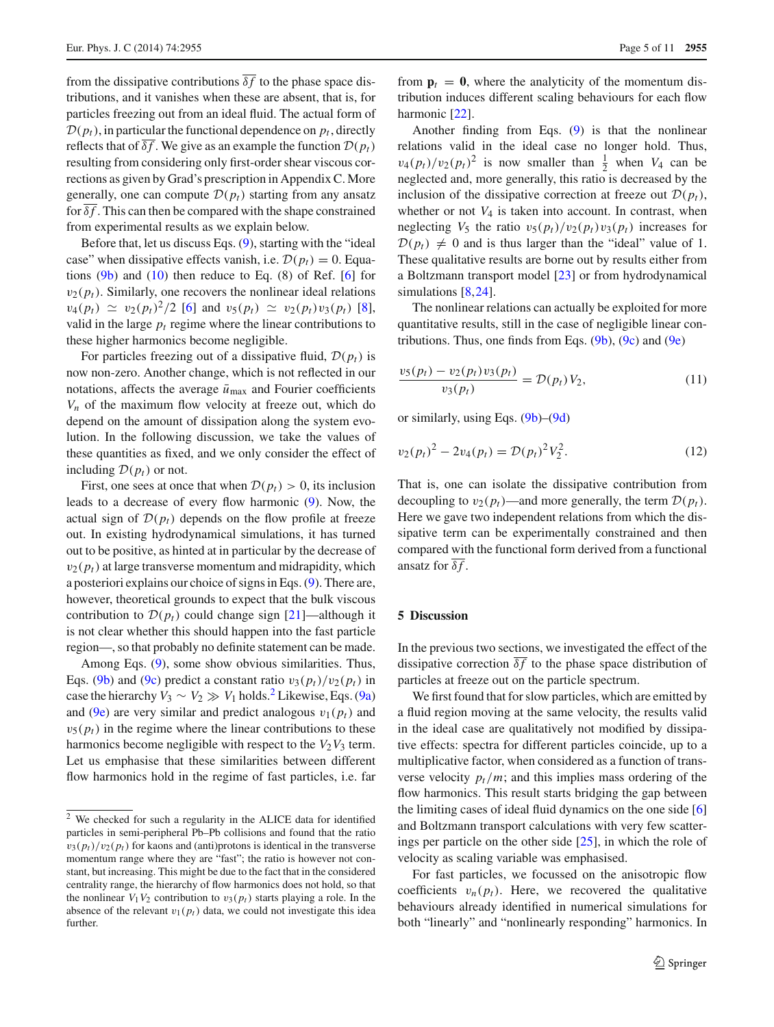from the dissipative contributions  $\delta f$  to the phase space distributions, and it vanishes when these are absent, that is, for particles freezing out from an ideal fluid. The actual form of  $D(p_t)$ , in particular the functional dependence on  $p_t$ , directly reflects that of  $\delta f$ . We give as an example the function  $\mathcal{D}(p_t)$ resulting from considering only first-order shear viscous corrections as given by Grad's prescription in Appendix C. More generally, one can compute  $\mathcal{D}(p_t)$  starting from any ansatz for  $\delta f$ . This can then be compared with the shape constrained from experimental results as we explain below.

Before that, let us discuss Eqs. [\(9\)](#page-3-3), starting with the "ideal case" when dissipative effects vanish, i.e.  $\mathcal{D}(p_t) = 0$ . Equations  $(9b)$  and  $(10)$  then reduce to Eq.  $(8)$  of Ref.  $[6]$  $[6]$  for  $v_2(p_t)$ . Similarly, one recovers the nonlinear ideal relations  $v_4(p_t) \simeq v_2(p_t)^2/2$  [\[6](#page-10-5)] and  $v_5(p_t) \simeq v_2(p_t)v_3(p_t)$  [\[8](#page-10-7)], valid in the large  $p_t$  regime where the linear contributions to these higher harmonics become negligible.

For particles freezing out of a dissipative fluid,  $\mathcal{D}(p_t)$  is now non-zero. Another change, which is not reflected in our notations, affects the average  $\bar{u}_{\text{max}}$  and Fourier coefficients  $V_n$  of the maximum flow velocity at freeze out, which do depend on the amount of dissipation along the system evolution. In the following discussion, we take the values of these quantities as fixed, and we only consider the effect of including  $\mathcal{D}(p_t)$  or not.

First, one sees at once that when  $\mathcal{D}(p_t) > 0$ , its inclusion leads to a decrease of every flow harmonic [\(9\)](#page-3-3). Now, the actual sign of  $\mathcal{D}(p_t)$  depends on the flow profile at freeze out. In existing hydrodynamical simulations, it has turned out to be positive, as hinted at in particular by the decrease of  $v_2(p_t)$  at large transverse momentum and midrapidity, which a posteriori explains our choice of signs in Eqs. [\(9\)](#page-3-3). There are, however, theoretical grounds to expect that the bulk viscous contribution to  $\mathcal{D}(p_t)$  could change sign [\[21](#page-10-17)]—although it is not clear whether this should happen into the fast particle region—, so that probably no definite statement can be made.

Among Eqs. [\(9\)](#page-3-3), some show obvious similarities. Thus, Eqs. [\(9b\)](#page-3-4) and [\(9c\)](#page-3-4) predict a constant ratio  $v_3(p_t)/v_2(p_t)$  in case the hierarchy  $V_3 \sim V_2 \gg V_1$  holds.<sup>2</sup> Likewise, Eqs. [\(9a\)](#page-3-4) and [\(9e\)](#page-3-4) are very similar and predict analogous  $v_1(p_t)$  and  $v_5(p_t)$  in the regime where the linear contributions to these harmonics become negligible with respect to the  $V_2V_3$  term. Let us emphasise that these similarities between different flow harmonics hold in the regime of fast particles, i.e. far

from  $\mathbf{p}_t = \mathbf{0}$ , where the analyticity of the momentum distribution induces different scaling behaviours for each flow harmonic [\[22\]](#page-10-19).

Another finding from Eqs. [\(9\)](#page-3-3) is that the nonlinear relations valid in the ideal case no longer hold. Thus,  $v_4(p_t)/v_2(p_t)^2$  is now smaller than  $\frac{1}{2}$  when  $V_4$  can be neglected and, more generally, this ratio is decreased by the inclusion of the dissipative correction at freeze out  $\mathcal{D}(p_t)$ , whether or not  $V_4$  is taken into account. In contrast, when neglecting  $V_5$  the ratio  $v_5(p_t)/v_2(p_t)v_3(p_t)$  increases for  $D(p_t) \neq 0$  and is thus larger than the "ideal" value of 1. These qualitative results are borne out by results either from a Boltzmann transport model [\[23\]](#page-10-20) or from hydrodynamical simulations [\[8](#page-10-7)[,24](#page-10-21)].

The nonlinear relations can actually be exploited for more quantitative results, still in the case of negligible linear contributions. Thus, one finds from Eqs.  $(9b)$ ,  $(9c)$  and  $(9e)$ 

<span id="page-4-2"></span>
$$
\frac{v_5(p_t) - v_2(p_t)v_3(p_t)}{v_3(p_t)} = \mathcal{D}(p_t)V_2,
$$
\n(11)

<span id="page-4-3"></span>or similarly, using Eqs. [\(9b\)](#page-3-4)–[\(9d\)](#page-3-4)

$$
v_2(p_t)^2 - 2v_4(p_t) = \mathcal{D}(p_t)^2 V_2^2.
$$
 (12)

That is, one can isolate the dissipative contribution from decoupling to  $v_2(p_t)$ —and more generally, the term  $\mathcal{D}(p_t)$ . Here we gave two independent relations from which the dissipative term can be experimentally constrained and then compared with the functional form derived from a functional ansatz for  $\overline{\delta f}$ .

## <span id="page-4-0"></span>**5 Discussion**

In the previous two sections, we investigated the effect of the dissipative correction  $\delta f$  to the phase space distribution of particles at freeze out on the particle spectrum.

We first found that for slow particles, which are emitted by a fluid region moving at the same velocity, the results valid in the ideal case are qualitatively not modified by dissipative effects: spectra for different particles coincide, up to a multiplicative factor, when considered as a function of transverse velocity  $p_t/m$ ; and this implies mass ordering of the flow harmonics. This result starts bridging the gap between the limiting cases of ideal fluid dynamics on the one side [\[6\]](#page-10-5) and Boltzmann transport calculations with very few scatterings per particle on the other side [\[25\]](#page-10-22), in which the role of velocity as scaling variable was emphasised.

For fast particles, we focussed on the anisotropic flow coefficients  $v_n(p_t)$ . Here, we recovered the qualitative behaviours already identified in numerical simulations for both "linearly" and "nonlinearly responding" harmonics. In

<span id="page-4-1"></span><sup>2</sup> We checked for such a regularity in the ALICE data for identified particles in semi-peripheral Pb–Pb collisions and found that the ratio  $v_3(p_t)/v_2(p_t)$  for kaons and (anti)protons is identical in the transverse momentum range where they are "fast"; the ratio is however not constant, but increasing. This might be due to the fact that in the considered centrality range, the hierarchy of flow harmonics does not hold, so that the nonlinear  $V_1V_2$  contribution to  $v_3(p_t)$  starts playing a role. In the absence of the relevant  $v_1(p_t)$  data, we could not investigate this idea further.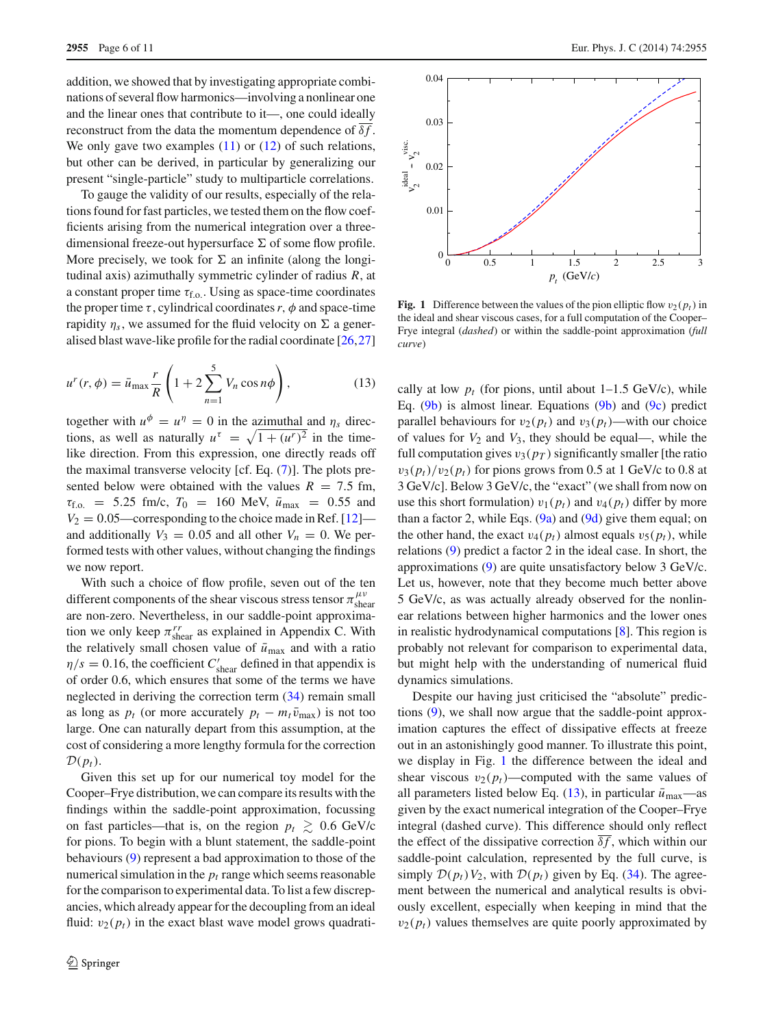addition, we showed that by investigating appropriate combinations of several flow harmonics—involving a nonlinear one and the linear ones that contribute to it—, one could ideally reconstruct from the data the momentum dependence of  $\delta \bar{f}$ . We only gave two examples  $(11)$  or  $(12)$  of such relations, but other can be derived, in particular by generalizing our present "single-particle" study to multiparticle correlations.

To gauge the validity of our results, especially of the relations found for fast particles, we tested them on the flow coefficients arising from the numerical integration over a threedimensional freeze-out hypersurface  $\Sigma$  of some flow profile. More precisely, we took for  $\Sigma$  an infinite (along the longitudinal axis) azimuthally symmetric cylinder of radius *R*, at a constant proper time  $\tau_{f.o.}$ . Using as space-time coordinates the proper time  $\tau$ , cylindrical coordinates  $r$ ,  $\phi$  and space-time rapidity  $\eta_s$ , we assumed for the fluid velocity on  $\Sigma$  a generalised blast wave-like profile for the radial coordinate [\[26,](#page-10-23)[27\]](#page-10-24)

<span id="page-5-1"></span>
$$
u^{r}(r,\phi) = \bar{u}_{\max}\frac{r}{R}\left(1+2\sum_{n=1}^{5}V_{n}\cos n\phi\right),\qquad(13)
$$

together with  $u^{\phi} = u^{\eta} = 0$  in the azimuthal and  $\eta_s$  directions, as well as naturally  $u^{\tau} = \sqrt{1 + (u^r)^2}$  in the timelike direction. From this expression, one directly reads off the maximal transverse velocity [cf. Eq.  $(7)$ ]. The plots presented below were obtained with the values  $R = 7.5$  fm,  $\tau_{f.o.}$  = 5.25 fm/c,  $T_0$  = 160 MeV,  $\bar{u}_{max}$  = 0.55 and  $V_2 = 0.05$ —corresponding to the choice made in Ref.  $[12]$  and additionally  $V_3 = 0.05$  and all other  $V_n = 0$ . We performed tests with other values, without changing the findings we now report.

With such a choice of flow profile, seven out of the ten different components of the shear viscous stress tensor  $\pi_{\text{shear}}^{\mu\nu}$ are non-zero. Nevertheless, in our saddle-point approximation we only keep  $\pi_{\text{shear}}^{rr}$  as explained in Appendix C. With the relatively small chosen value of  $\bar{u}_{\text{max}}$  and with a ratio  $\eta/s = 0.16$ , the coefficient  $C'_{\text{shear}}$  defined in that appendix is of order 0.6, which ensures that some of the terms we have neglected in deriving the correction term [\(34\)](#page-10-25) remain small as long as  $p_t$  (or more accurately  $p_t - m_t\bar{v}_{\text{max}}$ ) is not too large. One can naturally depart from this assumption, at the cost of considering a more lengthy formula for the correction  $\mathcal{D}(p_t)$ .

Given this set up for our numerical toy model for the Cooper–Frye distribution, we can compare its results with the findings within the saddle-point approximation, focussing on fast particles—that is, on the region  $p_t \gtrsim 0.6$  GeV/c for pions. To begin with a blunt statement, the saddle-point behaviours [\(9\)](#page-3-3) represent a bad approximation to those of the numerical simulation in the  $p_t$  range which seems reasonable for the comparison to experimental data. To list a few discrepancies, which already appear for the decoupling from an ideal fluid:  $v_2(p_t)$  in the exact blast wave model grows quadrati-



<span id="page-5-0"></span>**Fig. 1** Difference between the values of the pion elliptic flow  $v_2(p_t)$  in the ideal and shear viscous cases, for a full computation of the Cooper– Frye integral (*dashed*) or within the saddle-point approximation (*full curve*)

cally at low  $p_t$  (for pions, until about  $1-1.5$  GeV/c), while Eq. [\(9b\)](#page-3-4) is almost linear. Equations [\(9b\)](#page-3-4) and [\(9c\)](#page-3-4) predict parallel behaviours for  $v_2(p_t)$  and  $v_3(p_t)$ —with our choice of values for  $V_2$  and  $V_3$ , they should be equal—, while the full computation gives  $v_3(p_T)$  significantly smaller [the ratio  $v_3(p_t)/v_2(p_t)$  for pions grows from 0.5 at 1 GeV/c to 0.8 at 3 GeV/c]. Below 3 GeV/c, the "exact" (we shall from now on use this short formulation)  $v_1(p_t)$  and  $v_4(p_t)$  differ by more than a factor 2, while Eqs.  $(9a)$  and  $(9d)$  give them equal; on the other hand, the exact  $v_4(p_t)$  almost equals  $v_5(p_t)$ , while relations [\(9\)](#page-3-3) predict a factor 2 in the ideal case. In short, the approximations [\(9\)](#page-3-3) are quite unsatisfactory below 3 GeV/c. Let us, however, note that they become much better above 5 GeV/c, as was actually already observed for the nonlinear relations between higher harmonics and the lower ones in realistic hydrodynamical computations [\[8\]](#page-10-7). This region is probably not relevant for comparison to experimental data, but might help with the understanding of numerical fluid dynamics simulations.

Despite our having just criticised the "absolute" predictions [\(9\)](#page-3-3), we shall now argue that the saddle-point approximation captures the effect of dissipative effects at freeze out in an astonishingly good manner. To illustrate this point, we display in Fig. [1](#page-5-0) the difference between the ideal and shear viscous  $v_2(p_t)$ —computed with the same values of all parameters listed below Eq.  $(13)$ , in particular  $\bar{u}_{\text{max}}$ —as given by the exact numerical integration of the Cooper–Frye integral (dashed curve). This difference should only reflect the effect of the dissipative correction  $\delta f$ , which within our saddle-point calculation, represented by the full curve, is simply  $\mathcal{D}(p_t) V_2$ , with  $\mathcal{D}(p_t)$  given by Eq. [\(34\)](#page-10-25). The agreement between the numerical and analytical results is obviously excellent, especially when keeping in mind that the  $v_2(p_t)$  values themselves are quite poorly approximated by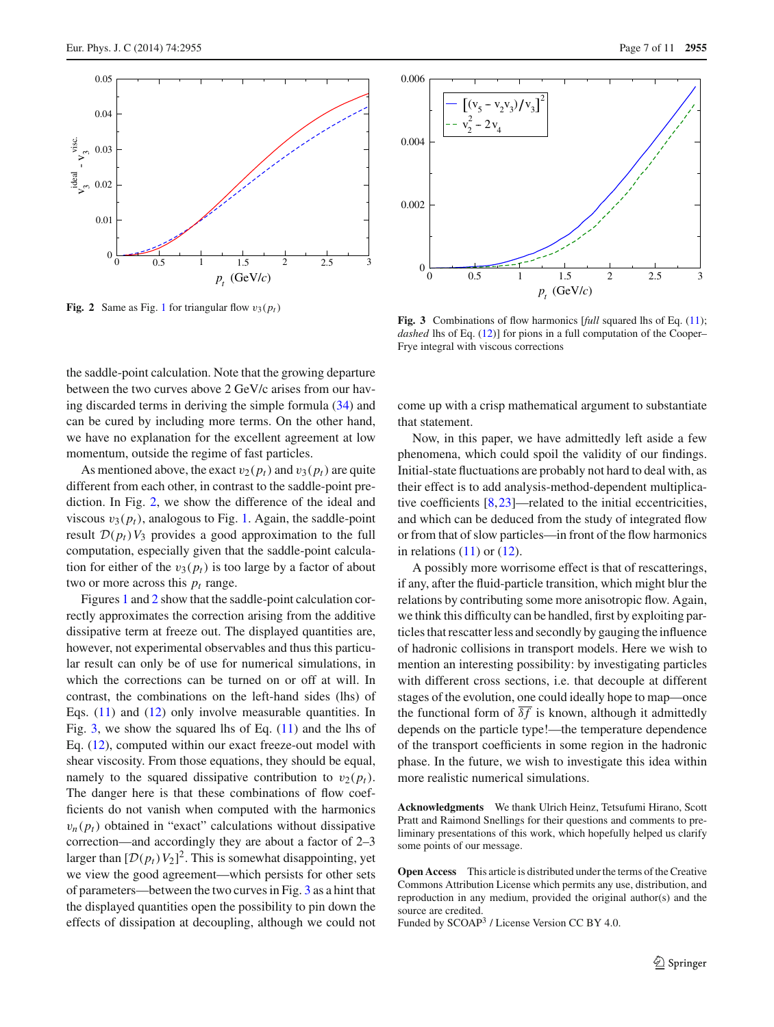

<span id="page-6-0"></span>**Fig. 2** Same as Fig. [1](#page-5-0) for triangular flow  $v_3(p_t)$ 

the saddle-point calculation. Note that the growing departure between the two curves above 2 GeV/c arises from our having discarded terms in deriving the simple formula [\(34\)](#page-10-25) and can be cured by including more terms. On the other hand, we have no explanation for the excellent agreement at low momentum, outside the regime of fast particles.

As mentioned above, the exact  $v_2(p_t)$  and  $v_3(p_t)$  are quite different from each other, in contrast to the saddle-point prediction. In Fig. [2,](#page-6-0) we show the difference of the ideal and viscous  $v_3(p_t)$ , analogous to Fig. [1.](#page-5-0) Again, the saddle-point result  $\mathcal{D}(p_t) V_3$  provides a good approximation to the full computation, especially given that the saddle-point calculation for either of the  $v_3(p_t)$  is too large by a factor of about two or more across this  $p_t$  range.

Figures [1](#page-5-0) and [2](#page-6-0) show that the saddle-point calculation correctly approximates the correction arising from the additive dissipative term at freeze out. The displayed quantities are, however, not experimental observables and thus this particular result can only be of use for numerical simulations, in which the corrections can be turned on or off at will. In contrast, the combinations on the left-hand sides (lhs) of Eqs. [\(11\)](#page-4-2) and [\(12\)](#page-4-3) only involve measurable quantities. In Fig. [3,](#page-6-1) we show the squared lhs of Eq.  $(11)$  and the lhs of Eq. [\(12\)](#page-4-3), computed within our exact freeze-out model with shear viscosity. From those equations, they should be equal, namely to the squared dissipative contribution to  $v_2(p_t)$ . The danger here is that these combinations of flow coefficients do not vanish when computed with the harmonics  $v_n(p_t)$  obtained in "exact" calculations without dissipative correction—and accordingly they are about a factor of 2–3 larger than  $[D(p_t) V_2]^2$ . This is somewhat disappointing, yet we view the good agreement—which persists for other sets of parameters—between the two curves in Fig. [3](#page-6-1) as a hint that the displayed quantities open the possibility to pin down the effects of dissipation at decoupling, although we could not



<span id="page-6-1"></span>Fig. 3 Combinations of flow harmonics [*full* squared lhs of Eq. [\(11\)](#page-4-2); dashed lhs of Eq. [\(12\)](#page-4-3)] for pions in a full computation of the Cooper-Frye integral with viscous corrections

come up with a crisp mathematical argument to substantiate that statement.

Now, in this paper, we have admittedly left aside a few phenomena, which could spoil the validity of our findings. Initial-state fluctuations are probably not hard to deal with, as their effect is to add analysis-method-dependent multiplicative coefficients [\[8,](#page-10-7)[23\]](#page-10-20)—related to the initial eccentricities, and which can be deduced from the study of integrated flow or from that of slow particles—in front of the flow harmonics in relations  $(11)$  or  $(12)$ .

A possibly more worrisome effect is that of rescatterings, if any, after the fluid-particle transition, which might blur the relations by contributing some more anisotropic flow. Again, we think this difficulty can be handled, first by exploiting particles that rescatter less and secondly by gauging the influence of hadronic collisions in transport models. Here we wish to mention an interesting possibility: by investigating particles with different cross sections, i.e. that decouple at different stages of the evolution, one could ideally hope to map—once the functional form of  $\delta f$  is known, although it admittedly depends on the particle type!—the temperature dependence of the transport coefficients in some region in the hadronic phase. In the future, we wish to investigate this idea within more realistic numerical simulations.

**Acknowledgments** We thank Ulrich Heinz, Tetsufumi Hirano, Scott Pratt and Raimond Snellings for their questions and comments to preliminary presentations of this work, which hopefully helped us clarify some points of our message.

**Open Access** This article is distributed under the terms of the Creative Commons Attribution License which permits any use, distribution, and reproduction in any medium, provided the original author(s) and the source are credited.

Funded by SCOAP<sup>3</sup> / License Version CC BY 4.0.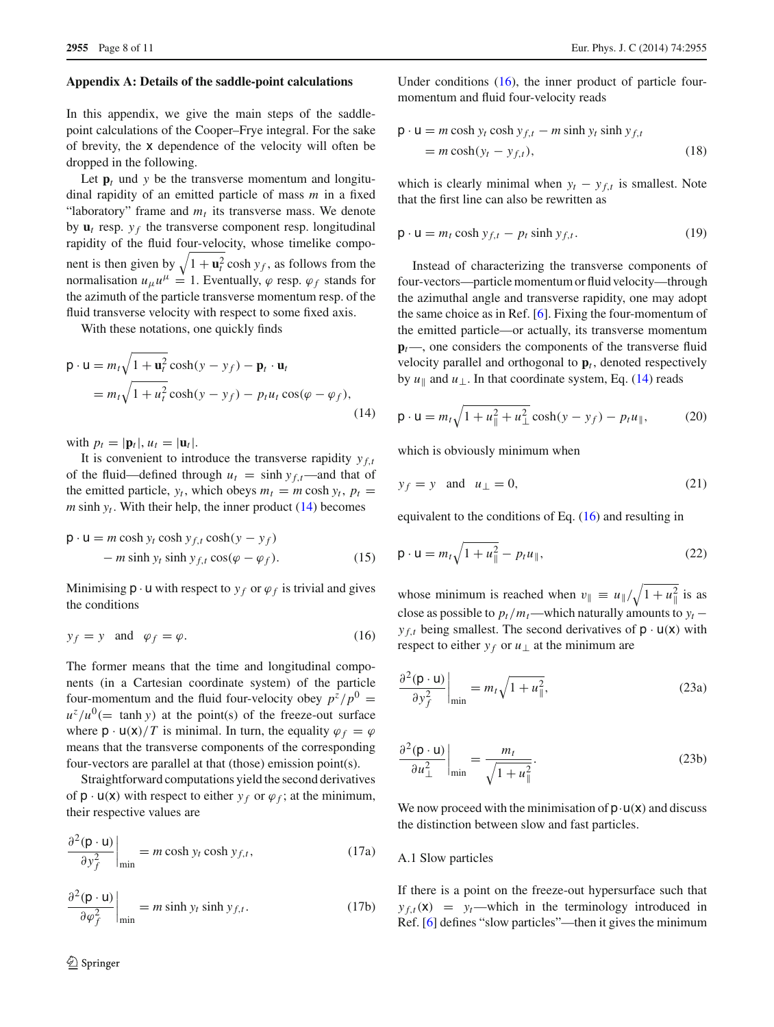#### **Appendix A: Details of the saddle-point calculations**

In this appendix, we give the main steps of the saddlepoint calculations of the Cooper–Frye integral. For the sake of brevity, the x dependence of the velocity will often be dropped in the following.

Let  $\mathbf{p}_t$  und y be the transverse momentum and longitudinal rapidity of an emitted particle of mass *m* in a fixed "laboratory" frame and  $m_t$  its transverse mass. We denote by  $\mathbf{u}_t$  resp.  $y_f$  the transverse component resp. longitudinal rapidity of the fluid four-velocity, whose timelike component is then given by  $\sqrt{1 + \mathbf{u}_t^2 \cosh y_f}$ , as follows from the normalisation  $u_{\mu}u^{\mu} = 1$ . Eventually,  $\varphi$  resp.  $\varphi_f$  stands for the azimuth of the particle transverse momentum resp. of the fluid transverse velocity with respect to some fixed axis.

With these notations, one quickly finds

$$
\mathbf{p} \cdot \mathbf{u} = m_t \sqrt{1 + \mathbf{u}_t^2} \cosh(y - y_f) - \mathbf{p}_t \cdot \mathbf{u}_t
$$
  
=  $m_t \sqrt{1 + u_t^2} \cosh(y - y_f) - p_t u_t \cos(\varphi - \varphi_f),$  (14)

with  $p_t = |\mathbf{p}_t|, u_t = |\mathbf{u}_t|$ .

It is convenient to introduce the transverse rapidity  $y_{f,t}$ of the fluid—defined through  $u_t = \sinh y_{t,t}$ —and that of the emitted particle,  $y_t$ , which obeys  $m_t = m \cosh y_t$ ,  $p_t =$ *m* sinh  $y_t$ . With their help, the inner product [\(14\)](#page-7-0) becomes

$$
\mathsf{p} \cdot \mathsf{u} = m \cosh y_t \cosh y_{f,t} \cosh(y - y_f) - m \sinh y_t \sinh y_{f,t} \cos(\varphi - \varphi_f).
$$
 (15)

Minimising  $p \cdot u$  with respect to  $y_f$  or  $\varphi_f$  is trivial and gives the conditions

$$
y_f = y \quad \text{and} \quad \varphi_f = \varphi. \tag{16}
$$

The former means that the time and longitudinal components (in a Cartesian coordinate system) of the particle four-momentum and the fluid four-velocity obey  $p^z/p^0$  =  $u^2/u^0$  (= tanh *y*) at the point(s) of the freeze-out surface where  $p \cdot u(x)/T$  is minimal. In turn, the equality  $\varphi_f = \varphi$ means that the transverse components of the corresponding four-vectors are parallel at that (those) emission point(s).

Straightforward computations yield the second derivatives of  $p \cdot u(x)$  with respect to either  $y_f$  or  $\varphi_f$ ; at the minimum, their respective values are

<span id="page-7-2"></span>
$$
\left. \frac{\partial^2 (\mathbf{p} \cdot \mathbf{u})}{\partial y_f^2} \right|_{\text{min}} = m \cosh y_t \cosh y_{f,t}, \qquad (17a)
$$

$$
\left. \frac{\partial^2 (\mathbf{p} \cdot \mathbf{u})}{\partial \varphi_f^2} \right|_{\text{min}} = m \sinh y_t \sinh y_{f,t}.
$$
 (17b)

Under conditions [\(16\)](#page-7-1), the inner product of particle fourmomentum and fluid four-velocity reads

<span id="page-7-3"></span>
$$
\mathsf{p} \cdot \mathsf{u} = m \cosh y_t \cosh y_{f,t} - m \sinh y_t \sinh y_{f,t}
$$
  
=  $m \cosh(y_t - y_{f,t}),$  (18)

which is clearly minimal when  $y_t - y_{f,t}$  is smallest. Note that the first line can also be rewritten as

$$
\mathsf{p} \cdot \mathsf{u} = m_t \cosh y_{f,t} - p_t \sinh y_{f,t}.\tag{19}
$$

Instead of characterizing the transverse components of four-vectors—particle momentum or fluid velocity—through the azimuthal angle and transverse rapidity, one may adopt the same choice as in Ref. [\[6\]](#page-10-5). Fixing the four-momentum of the emitted particle—or actually, its transverse momentum  $p_t$ —, one considers the components of the transverse fluid velocity parallel and orthogonal to  $\mathbf{p}_t$ , denoted respectively by  $u_{\parallel}$  and  $u_{\perp}$ . In that coordinate system, Eq. [\(14\)](#page-7-0) reads

<span id="page-7-0"></span>
$$
\mathsf{p} \cdot \mathsf{u} = m_t \sqrt{1 + u_{\parallel}^2 + u_{\perp}^2} \cosh(y - y_f) - p_t u_{\parallel}, \tag{20}
$$

which is obviously minimum when

$$
y_f = y \quad \text{and} \quad u_{\perp} = 0,\tag{21}
$$

equivalent to the conditions of Eq. [\(16\)](#page-7-1) and resulting in

<span id="page-7-4"></span>
$$
\mathsf{p} \cdot \mathsf{u} = m_t \sqrt{1 + u_{\parallel}^2} - p_t u_{\parallel},\tag{22}
$$

<span id="page-7-1"></span>whose minimum is reached when  $v_{\parallel} \equiv u_{\parallel}/\sqrt{1 + u_{\parallel}^2}$  is as close as possible to  $p_t/m_t$ —which naturally amounts to  $y_t$  –  $y_{f,t}$  being smallest. The second derivatives of  $p \cdot u(x)$  with respect to either  $y_f$  or  $u_{\perp}$  at the minimum are

$$
\left. \frac{\partial^2 (\mathbf{p} \cdot \mathbf{u})}{\partial y_f^2} \right|_{\text{min}} = m_t \sqrt{1 + u_{\parallel}^2},\tag{23a}
$$

$$
\left. \frac{\partial^2 (\mathbf{p} \cdot \mathbf{u})}{\partial u_\perp^2} \right|_{\text{min}} = \frac{m_t}{\sqrt{1 + u_\parallel^2}}.
$$
 (23b)

We now proceed with the minimisation of  $p \cdot u(x)$  and discuss the distinction between slow and fast particles.

#### A.1 Slow particles

If there is a point on the freeze-out hypersurface such that  $y_{f,t}(\mathbf{x}) = y_t$ —which in the terminology introduced in Ref. [\[6](#page-10-5)] defines "slow particles"—then it gives the minimum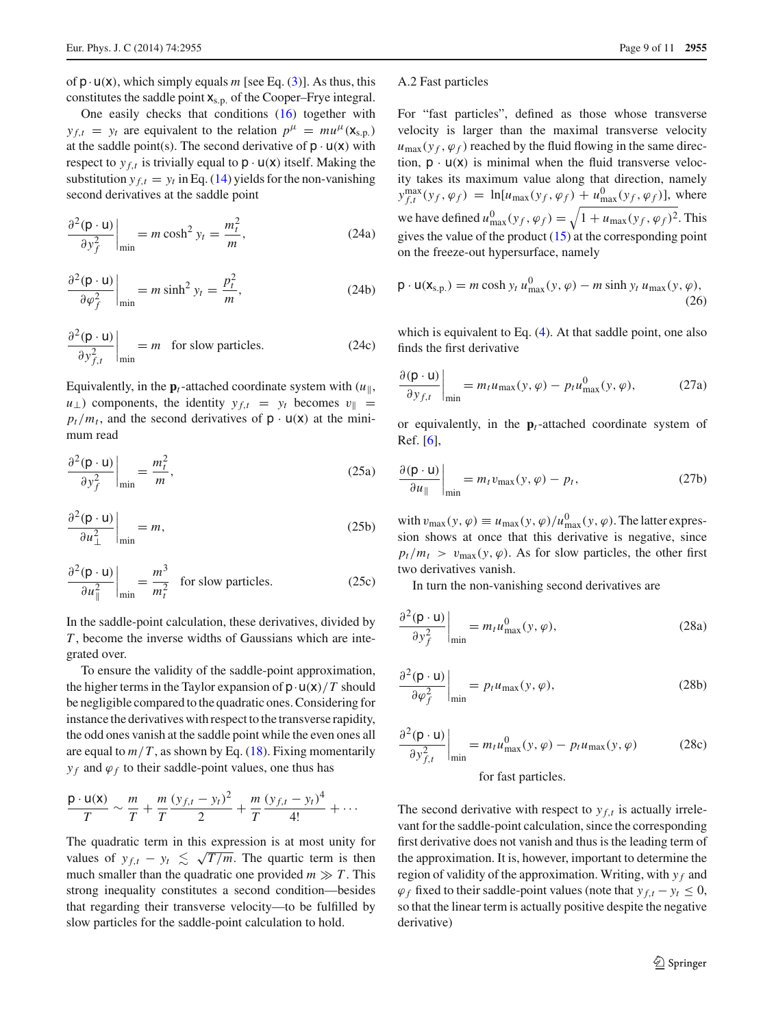of  $p \cdot u(x)$ , which simply equals *m* [see Eq. [\(3\)](#page-2-1)]. As thus, this constitutes the saddle point  $x_{s.p.}$  of the Cooper–Frye integral.

One easily checks that conditions [\(16\)](#page-7-1) together with  $y_{f,t} = y_t$  are equivalent to the relation  $p^{\mu} = mu^{\mu}(x_{s,p})$ at the saddle point(s). The second derivative of  $p \cdot u(x)$  with respect to  $y_{f,t}$  is trivially equal to  $p \cdot u(x)$  itself. Making the substitution  $y_{f,t} = y_t$  in Eq. [\(14\)](#page-7-2) yields for the non-vanishing second derivatives at the saddle point

$$
\left. \frac{\partial^2 (\mathbf{p} \cdot \mathbf{u})}{\partial y_f^2} \right|_{\text{min}} = m \cosh^2 y_t = \frac{m_t^2}{m},\tag{24a}
$$

$$
\left. \frac{\partial^2 (\mathbf{p} \cdot \mathbf{u})}{\partial \varphi_f^2} \right|_{\text{min}} = m \sinh^2 y_t = \frac{p_t^2}{m},\tag{24b}
$$

$$
\frac{\partial^2 (\mathbf{p} \cdot \mathbf{u})}{\partial y_{f,t}^2} \bigg|_{\text{min}} = m \quad \text{for slow particles.} \tag{24c}
$$

Equivalently, in the  $\mathbf{p}_t$ -attached coordinate system with  $(u_{\parallel},$ *u*<sub>⊥</sub>) components, the identity  $y_{f,t} = y_t$  becomes  $v_{\parallel} =$  $p_t/m_t$ , and the second derivatives of  $p \cdot u(x)$  at the minimum read

$$
\left. \frac{\partial^2 (\mathbf{p} \cdot \mathbf{u})}{\partial y_f^2} \right|_{\text{min}} = \frac{m_t^2}{m},\tag{25a}
$$

$$
\left. \frac{\partial^2 (\mathbf{p} \cdot \mathbf{u})}{\partial u_\perp^2} \right|_{\text{min}} = m,
$$
\n(25b)

$$
\frac{\partial^2 (\mathbf{p} \cdot \mathbf{u})}{\partial u_{\parallel}^2} \bigg|_{\text{min}} = \frac{m^3}{m_t^2} \quad \text{for slow particles.} \tag{25c}
$$

In the saddle-point calculation, these derivatives, divided by *T* , become the inverse widths of Gaussians which are integrated over.

To ensure the validity of the saddle-point approximation, the higher terms in the Taylor expansion of  $p \cdot u(x)/T$  should be negligible compared to the quadratic ones. Considering for instance the derivatives with respect to the transverse rapidity, the odd ones vanish at the saddle point while the even ones all are equal to  $m/T$ , as shown by Eq. [\(18\)](#page-7-3). Fixing momentarily  $y_f$  and  $\varphi_f$  to their saddle-point values, one thus has

$$
\frac{p \cdot u(x)}{T} \sim \frac{m}{T} + \frac{m}{T} \frac{(y_{f,t} - y_t)^2}{2} + \frac{m}{T} \frac{(y_{f,t} - y_t)^4}{4!} + \cdots
$$

The quadratic term in this expression is at most unity for values of  $y_{f,t} - y_t \leq \sqrt{T/m}$ . The quartic term is then much smaller than the quadratic one provided  $m \gg T$ . This strong inequality constitutes a second condition—besides that regarding their transverse velocity—to be fulfilled by slow particles for the saddle-point calculation to hold.

#### A.2 Fast particles

For "fast particles", defined as those whose transverse velocity is larger than the maximal transverse velocity  $u_{\text{max}}(y_f, \varphi_f)$  reached by the fluid flowing in the same direction,  $p \cdot u(x)$  is minimal when the fluid transverse velocity takes its maximum value along that direction, namely  $y_{f,t}^{\max}(y_f, \varphi_f) = \ln[u_{\max}(y_f, \varphi_f) + u_{\max}^0(y_f, \varphi_f)],$  where we have defined  $u_{\text{max}}^0(y_f, \varphi_f) = \sqrt{1 + u_{\text{max}}(y_f, \varphi_f)^2}$ . This gives the value of the product  $(15)$  at the corresponding point on the freeze-out hypersurface, namely

$$
\mathsf{p} \cdot \mathsf{u}(\mathsf{x}_{\mathrm{s.p.}}) = m \cosh y_t u_{\mathrm{max}}^0(y, \varphi) - m \sinh y_t u_{\mathrm{max}}(y, \varphi),\tag{26}
$$

which is equivalent to Eq. [\(4\)](#page-2-2). At that saddle point, one also finds the first derivative

$$
\left. \frac{\partial (\mathbf{p} \cdot \mathbf{u})}{\partial y_{f,t}} \right|_{\text{min}} = m_t u_{\text{max}}(y, \varphi) - p_t u_{\text{max}}^0(y, \varphi), \tag{27a}
$$

or equivalently, in the **p***t*-attached coordinate system of Ref. [\[6\]](#page-10-5),

$$
\left. \frac{\partial (\mathbf{p} \cdot \mathbf{u})}{\partial u_{\parallel}} \right|_{\text{min}} = m_t v_{\text{max}}(y, \varphi) - p_t,
$$
 (27b)

with  $v_{\text{max}}(y, \varphi) \equiv u_{\text{max}}(y, \varphi)/u_{\text{max}}^0(y, \varphi)$ . The latter expression shows at once that this derivative is negative, since  $p_t/m_t > v_{\text{max}}(y, \varphi)$ . As for slow particles, the other first two derivatives vanish.

In turn the non-vanishing second derivatives are

$$
\left. \frac{\partial^2 (\mathbf{p} \cdot \mathbf{u})}{\partial y_f^2} \right|_{\text{min}} = m_t u_{\text{max}}^0(y, \varphi), \tag{28a}
$$

$$
\left. \frac{\partial^2 (\mathbf{p} \cdot \mathbf{u})}{\partial \varphi_f^2} \right|_{\text{min}} = p_t u_{\text{max}}(y, \varphi), \tag{28b}
$$

$$
\frac{\partial^2 (\mathbf{p} \cdot \mathbf{u})}{\partial y_{f,t}^2} \bigg|_{\text{min}} = m_t u_{\text{max}}^0(y, \varphi) - p_t u_{\text{max}}(y, \varphi)
$$
 (28c)  
for fast particles.

The second derivative with respect to  $y_{f,t}$  is actually irrelevant for the saddle-point calculation, since the corresponding first derivative does not vanish and thus is the leading term of the approximation. It is, however, important to determine the region of validity of the approximation. Writing, with  $y_f$  and  $\varphi_f$  fixed to their saddle-point values (note that  $y_{f,t} - y_t \leq 0$ , so that the linear term is actually positive despite the negative derivative)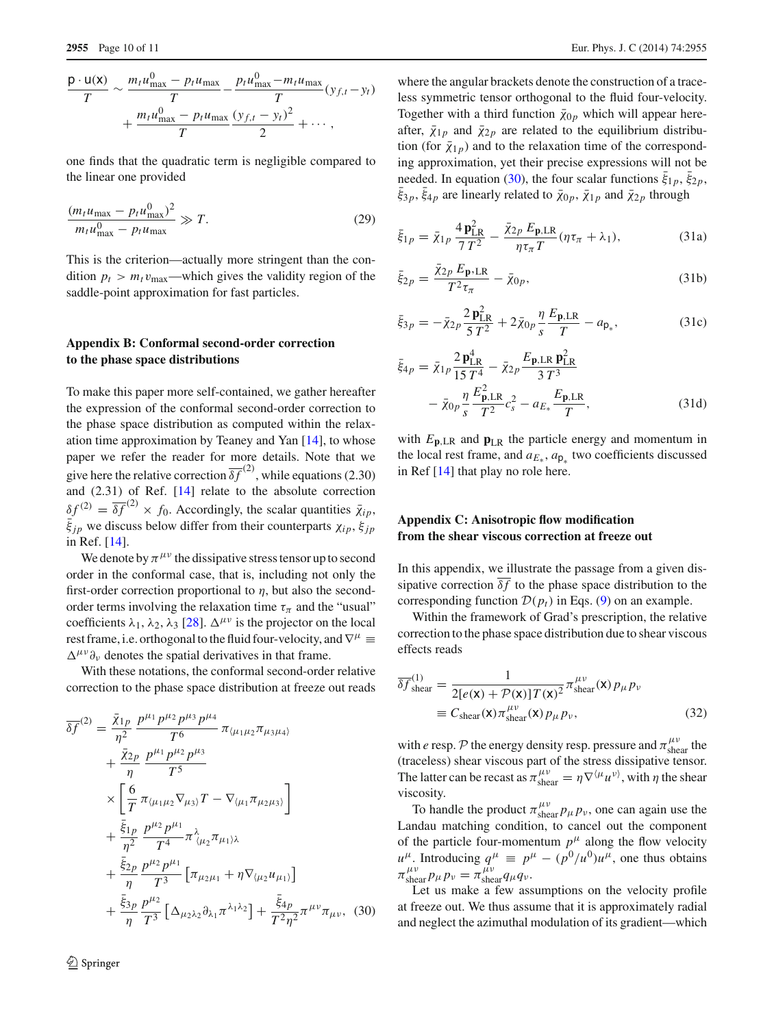$$
\frac{p \cdot u(x)}{T} \sim \frac{m_t u_{\text{max}}^0 - p_t u_{\text{max}}}{T} - \frac{p_t u_{\text{max}}^0 - m_t u_{\text{max}}}{T} (y_{f,t} - y_t) + \frac{m_t u_{\text{max}}^0 - p_t u_{\text{max}}}{T} \frac{(y_{f,t} - y_t)^2}{2} + \cdots,
$$

one finds that the quadratic term is negligible compared to the linear one provided

$$
\frac{(m_t u_{\text{max}} - p_t u_{\text{max}}^0)^2}{m_t u_{\text{max}}^0 - p_t u_{\text{max}}} \gg T.
$$
\n(29)

This is the criterion—actually more stringent than the condition  $p_t > m_t v_{\text{max}}$ —which gives the validity region of the saddle-point approximation for fast particles.

# **Appendix B: Conformal second-order correction to the phase space distributions**

To make this paper more self-contained, we gather hereafter the expression of the conformal second-order correction to the phase space distribution as computed within the relaxation time approximation by Teaney and Yan [\[14](#page-10-14)], to whose paper we refer the reader for more details. Note that we give here the relative correction  $\overline{\delta f}^{(2)}$ , while equations (2.30) and (2.31) of Ref. [\[14\]](#page-10-14) relate to the absolute correction  $\delta f^{(2)} = \overline{\delta f}^{(2)} \times f_0$ . Accordingly, the scalar quantities  $\bar{\chi}_{ip}$ ,  $\bar{\xi}_{jp}$  we discuss below differ from their counterparts  $\chi_{ip}, \xi_{jp}$ in Ref. [\[14\]](#page-10-14).

We denote by  $\pi^{\mu\nu}$  the dissipative stress tensor up to second order in the conformal case, that is, including not only the first-order correction proportional to  $\eta$ , but also the secondorder terms involving the relaxation time  $\tau_{\pi}$  and the "usual" coefficients  $\lambda_1, \lambda_2, \lambda_3$  [\[28](#page-10-26)].  $\Delta^{\mu\nu}$  is the projector on the local rest frame, i.e. orthogonal to the fluid four-velocity, and  $\nabla^{\mu}$  $\Delta^{\mu\nu}\partial_{\nu}$  denotes the spatial derivatives in that frame.

With these notations, the conformal second-order relative correction to the phase space distribution at freeze out reads

$$
\overline{\delta f}^{(2)} = \frac{\bar{\chi}_{1p}}{\eta^2} \frac{p^{\mu_1} p^{\mu_2} p^{\mu_3} p^{\mu_4}}{T^6} \pi_{\langle \mu_1 \mu_2 \pi_{\mu_3 \mu_4} \rangle} \n+ \frac{\bar{\chi}_{2p}}{\eta} \frac{p^{\mu_1} p^{\mu_2} p^{\mu_3}}{T^5} \n\times \left[ \frac{6}{T} \pi_{\langle \mu_1 \mu_2} \nabla_{\mu_3 \rangle} T - \nabla_{\langle \mu_1 \pi_{\mu_2 \mu_3} \rangle} \right] \n+ \frac{\bar{\xi}_{1p}}{\eta^2} \frac{p^{\mu_2} p^{\mu_1}}{T^4} \pi_{\langle \mu_2 \pi_{\mu_1} \rangle \lambda}^{\lambda} \n+ \frac{\bar{\xi}_{2p}}{\eta} \frac{p^{\mu_2} p^{\mu_1}}{T^3} \left[ \pi_{\mu_2 \mu_1} + \eta \nabla_{\langle \mu_2 u_{\mu_1} \rangle} \right] \n+ \frac{\bar{\xi}_{3p}}{\eta} \frac{p^{\mu_2}}{T^3} \left[ \Delta_{\mu_2 \lambda_2} \partial_{\lambda_1} \pi^{\lambda_1 \lambda_2} \right] + \frac{\bar{\xi}_{4p}}{T^2 \eta^2} \pi^{\mu \nu} \pi_{\mu \nu}, \quad (30)
$$

where the angular brackets denote the construction of a traceless symmetric tensor orthogonal to the fluid four-velocity. Together with a third function  $\bar{\chi}_{0p}$  which will appear hereafter,  $\bar{\chi}_{1p}$  and  $\bar{\chi}_{2p}$  are related to the equilibrium distribution (for  $\bar{\chi}_{1p}$ ) and to the relaxation time of the corresponding approximation, yet their precise expressions will not be needed. In equation [\(30\)](#page-9-1), the four scalar functions  $\xi_{1p}$ ,  $\xi_{2p}$ ,  $\xi_{3p}$ ,  $\xi_{4p}$  are linearly related to  $\bar{\chi}_{0p}$ ,  $\bar{\chi}_{1p}$  and  $\bar{\chi}_{2p}$  through

<span id="page-9-0"></span>
$$
\bar{\xi}_{1p} = \bar{\chi}_{1p} \frac{4 \, \mathbf{p}_{LR}^2}{7 \, T^2} - \frac{\bar{\chi}_{2p} \, E_{\mathbf{p},LR}}{\eta \, \tau_\pi \, T} (\eta \, \tau_\pi + \lambda_1),\tag{31a}
$$

$$
\bar{\xi}_{2p} = \frac{\bar{\chi}_{2p} E_{\mathbf{p},LR}}{T^2 \tau_{\pi}} - \bar{\chi}_{0p},\tag{31b}
$$

$$
\bar{\xi}_{3p} = -\bar{\chi}_{2p} \frac{2 \, \mathbf{p}_{LR}^2}{5 \, T^2} + 2 \bar{\chi}_{0p} \frac{\eta}{s} \frac{E_{\mathbf{p},LR}}{T} - a_{\mathbf{p}_*},\tag{31c}
$$

<span id="page-9-2"></span>
$$
\bar{\xi}_{4p} = \bar{\chi}_{1p} \frac{2 \mathbf{p}_{LR}^4}{15 T^4} - \bar{\chi}_{2p} \frac{E_{\mathbf{p},LR} \mathbf{p}_{LR}^2}{3 T^3} - \bar{\chi}_{0p} \frac{n}{s} \frac{E_{\mathbf{p},LR}^2}{T^2} c_s^2 - a_{E_*} \frac{E_{\mathbf{p},LR}}{T},
$$
\n(31d)

with  $E_{\mathbf{p},LR}$  and  $\mathbf{p}_{LR}$  the particle energy and momentum in the local rest frame, and  $a_{E<sub>∗</sub>}, a_{D<sub>∗</sub>}$  two coefficients discussed in Ref [\[14\]](#page-10-14) that play no role here.

# **Appendix C: Anisotropic flow modification from the shear viscous correction at freeze out**

In this appendix, we illustrate the passage from a given dissipative correction  $\overline{\delta f}$  to the phase space distribution to the corresponding function  $D(p_t)$  in Eqs. [\(9\)](#page-3-3) on an example.

Within the framework of Grad's prescription, the relative correction to the phase space distribution due to shear viscous effects reads

$$
\overline{\delta f}_{\text{shear}}^{(1)} = \frac{1}{2[e(\mathbf{x}) + \mathcal{P}(\mathbf{x})]T(\mathbf{x})^2} \pi_{\text{shear}}^{\mu\nu}(\mathbf{x}) p_{\mu} p_{\nu}
$$
  
\n
$$
\equiv C_{\text{shear}}(\mathbf{x}) \pi_{\text{shear}}^{\mu\nu}(\mathbf{x}) p_{\mu} p_{\nu},
$$
 (32)

with *e* resp.  $P$  the energy density resp. pressure and  $\pi_{\text{shear}}^{\mu\nu}$  the (traceless) shear viscous part of the stress dissipative tensor. The latter can be recast as  $\pi_{\text{shear}}^{\mu\nu} = \eta \nabla^{\langle \mu} u^{\nu \rangle}$ , with  $\eta$  the shear viscosity.

To handle the product  $\pi_{\text{shear}}^{\mu\nu} p_{\mu} p_{\nu}$ , one can again use the Landau matching condition, to cancel out the component of the particle four-momentum  $p^{\mu}$  along the flow velocity  $u^{\mu}$ . Introducing  $q^{\mu} \equiv p^{\mu} - (p^0/u^0)u^{\mu}$ , one thus obtains  $\pi_{\text{shear}}^{\mu\nu} p_{\mu} p_{\nu} = \pi_{\text{shear}}^{\mu\nu} q_{\mu} q_{\nu}.$ 

<span id="page-9-1"></span>Let us make a few assumptions on the velocity profile at freeze out. We thus assume that it is approximately radial and neglect the azimuthal modulation of its gradient—which